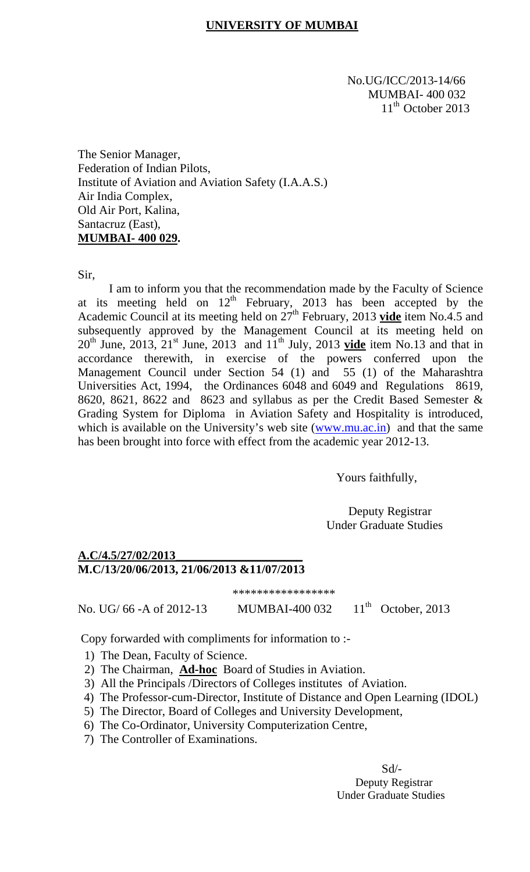#### **UNIVERSITY OF MUMBAI**

 No.UG/ICC/2013-14/66 MUMBAI- 400 032  $11<sup>th</sup>$  October 2013

The Senior Manager, Federation of Indian Pilots, Institute of Aviation and Aviation Safety (I.A.A.S.) Air India Complex, Old Air Port, Kalina, Santacruz (East), **MUMBAI- 400 029.** 

Sir,

I am to inform you that the recommendation made by the Faculty of Science at its meeting held on  $12<sup>th</sup>$  February, 2013 has been accepted by the Academic Council at its meeting held on 27<sup>th</sup> February, 2013 vide item No.4.5 and subsequently approved by the Management Council at its meeting held on  $20<sup>th</sup>$  June, 2013,  $21<sup>st</sup>$  June, 2013 and  $11<sup>th</sup>$  July, 2013 **vide** item No.13 and that in accordance therewith, in exercise of the powers conferred upon the Management Council under Section 54 (1) and 55 (1) of the Maharashtra Universities Act, 1994, the Ordinances 6048 and 6049 and Regulations 8619, 8620, 8621, 8622 and 8623 and syllabus as per the Credit Based Semester & Grading System for Diploma in Aviation Safety and Hospitality is introduced, which is available on the University's web site (www.mu.ac.in) and that the same has been brought into force with effect from the academic year 2012-13.

Yours faithfully,

 Deputy Registrar Under Graduate Studies

#### **A.C/4.5/27/02/2013\_\_\_\_\_\_\_\_\_\_\_\_\_\_\_\_\_\_\_\_\_ M.C/13/20/06/2013, 21/06/2013 &11/07/2013**

\*\*\*\*\*\*\*\*\*\*\*\*\*\*\*\*\*

No. UG/ 66 -A of 2012-13 MUMBAI-400 032 11<sup>th</sup> October, 2013

Copy forwarded with compliments for information to :- 1) The Dean, Faculty of Science.

- 
- 2) The Chairman, **Ad-hoc** Board of Studies in Aviation.
- 3) All the Principals /Directors of Colleges institutes of Aviation.
- 4) The Professor-cum-Director, Institute of Distance and Open Learning (IDOL)
- 5) The Director, Board of Colleges and University Development,
- 6) The Co-Ordinator, University Computerization Centre,
- 7) The Controller of Examinations.

 $Sd$ <sup>-</sup> Deputy Registrar Under Graduate Studies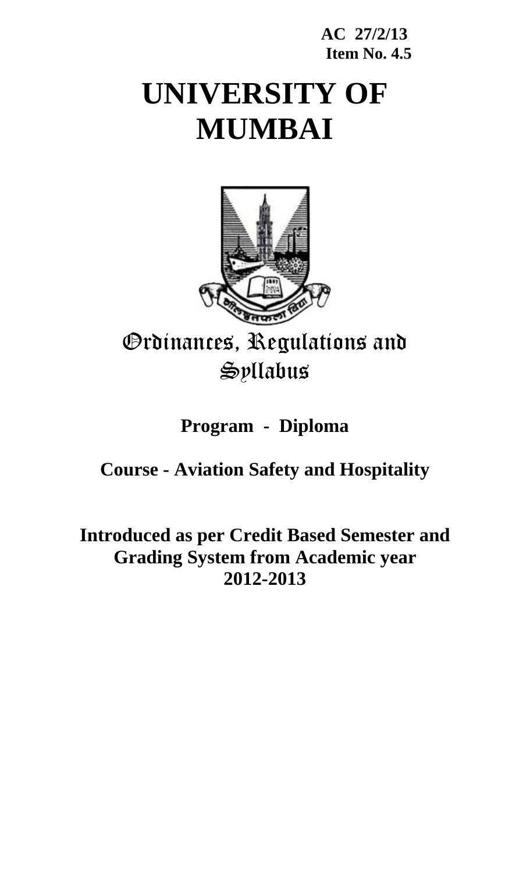### **AC 27/2/13 Item No. 4.5**

# **UNIVERSITY OF MUMBAI**



## Ordinances, Regulations and Syllabus

## **Program - Diploma**

## **Course - Aviation Safety and Hospitality**

## **Introduced as per Credit Based Semester and Grading System from Academic year 2012-2013**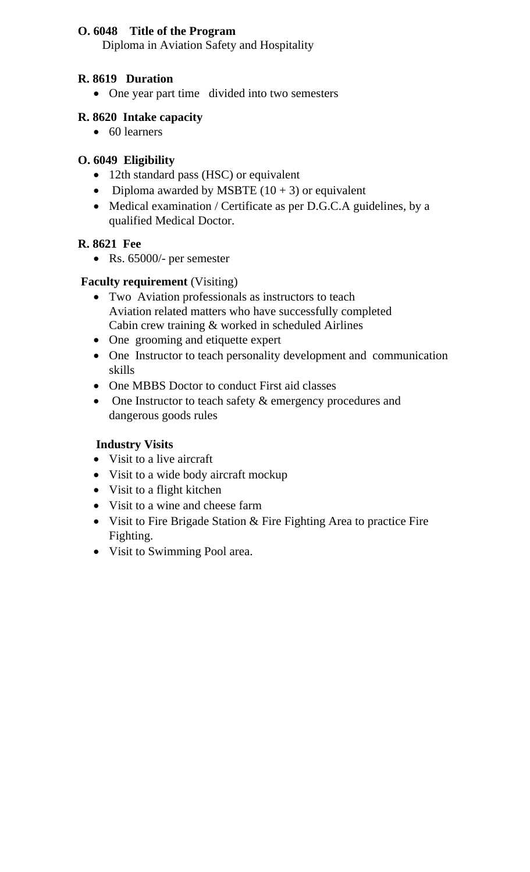#### **O. 6048 Title of the Program**

Diploma in Aviation Safety and Hospitality

#### **R. 8619 Duration**

• One year part time divided into two semesters

#### **R. 8620 Intake capacity**

• 60 learners

#### **O. 6049 Eligibility**

- 12th standard pass (HSC) or equivalent
- Diploma awarded by MSBTE  $(10 + 3)$  or equivalent
- Medical examination / Certificate as per D.G.C.A guidelines, by a qualified Medical Doctor.

#### **R. 8621 Fee**

• Rs. 65000/- per semester

#### **Faculty requirement** (Visiting)

- Two Aviation professionals as instructors to teach Aviation related matters who have successfully completed Cabin crew training & worked in scheduled Airlines
- One grooming and etiquette expert
- One Instructor to teach personality development and communication skills
- One MBBS Doctor to conduct First aid classes
- One Instructor to teach safety  $\&$  emergency procedures and dangerous goods rules

#### **Industry Visits**

- Visit to a live aircraft
- Visit to a wide body aircraft mockup
- Visit to a flight kitchen
- Visit to a wine and cheese farm
- Visit to Fire Brigade Station & Fire Fighting Area to practice Fire Fighting.
- Visit to Swimming Pool area.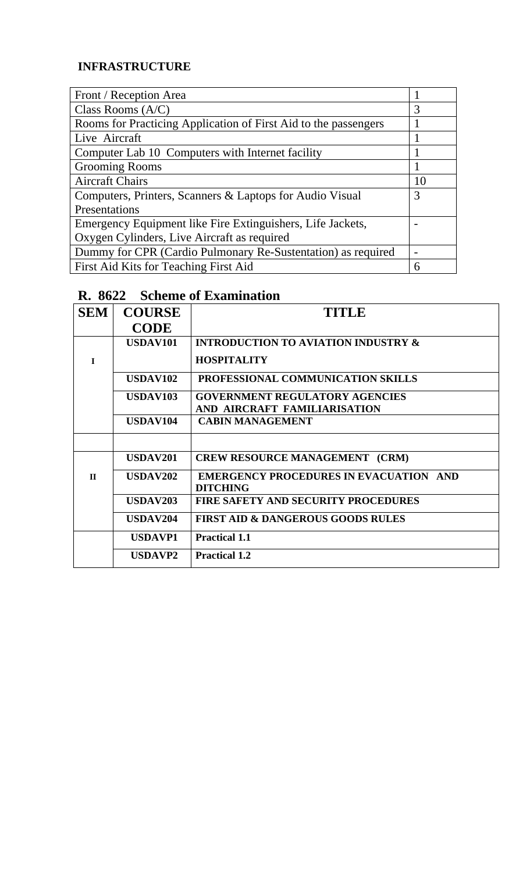#### **INFRASTRUCTURE**

| Front / Reception Area                                          |    |
|-----------------------------------------------------------------|----|
| Class Rooms $(A/C)$                                             | 3  |
| Rooms for Practicing Application of First Aid to the passengers |    |
| Live Aircraft                                                   |    |
| Computer Lab 10 Computers with Internet facility                |    |
| <b>Grooming Rooms</b>                                           |    |
| <b>Aircraft Chairs</b>                                          | 10 |
| Computers, Printers, Scanners & Laptops for Audio Visual        | 3  |
| Presentations                                                   |    |
| Emergency Equipment like Fire Extinguishers, Life Jackets,      |    |
| Oxygen Cylinders, Live Aircraft as required                     |    |
| Dummy for CPR (Cardio Pulmonary Re-Sustentation) as required    |    |
| First Aid Kits for Teaching First Aid                           | h  |

## **R. 8622 Scheme of Examination**

| <b>SEM</b>   | <b>COURSE</b>   | TITLE                                                            |
|--------------|-----------------|------------------------------------------------------------------|
|              | <b>CODE</b>     |                                                                  |
|              | <b>USDAV101</b> | <b>INTRODUCTION TO AVIATION INDUSTRY &amp;</b>                   |
| $\mathbf{I}$ |                 | <b>HOSPITALITY</b>                                               |
|              | <b>USDAV102</b> | PROFESSIONAL COMMUNICATION SKILLS                                |
|              | USDAV103        | <b>GOVERNMENT REGULATORY AGENCIES</b>                            |
|              |                 | AND AIRCRAFT FAMILIARISATION                                     |
|              | <b>USDAV104</b> | <b>CABIN MANAGEMENT</b>                                          |
|              |                 |                                                                  |
|              | <b>USDAV201</b> | <b>CREW RESOURCE MANAGEMENT (CRM)</b>                            |
| $\mathbf{H}$ | <b>USDAV202</b> | <b>EMERGENCY PROCEDURES IN EVACUATION AND</b><br><b>DITCHING</b> |
|              | <b>USDAV203</b> | <b>FIRE SAFETY AND SECURITY PROCEDURES</b>                       |
|              | USDAV204        | <b>FIRST AID &amp; DANGEROUS GOODS RULES</b>                     |
|              | <b>USDAVP1</b>  | <b>Practical 1.1</b>                                             |
|              | <b>USDAVP2</b>  | <b>Practical 1.2</b>                                             |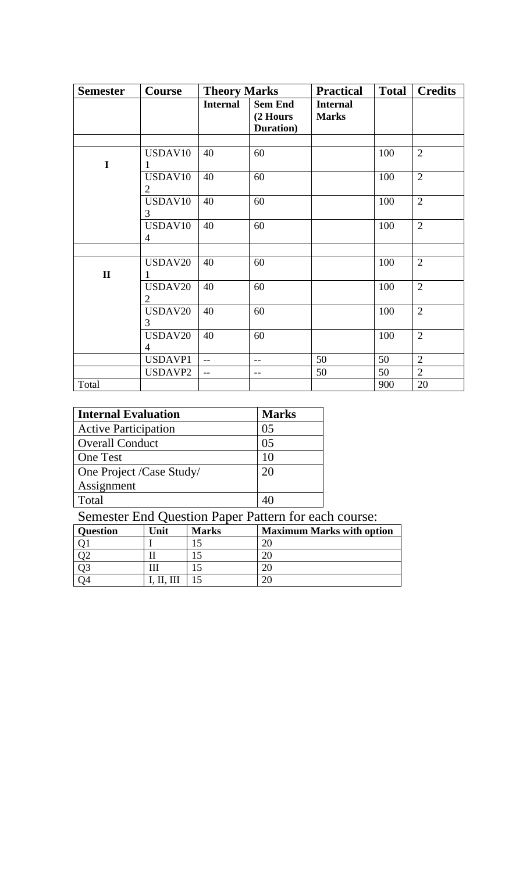| <b>Semester</b> | Course                    | <b>Theory Marks</b> |                                         | <b>Practical</b>                | <b>Total</b> | <b>Credits</b> |
|-----------------|---------------------------|---------------------|-----------------------------------------|---------------------------------|--------------|----------------|
|                 |                           | <b>Internal</b>     | <b>Sem End</b><br>(2 Hours<br>Duration) | <b>Internal</b><br><b>Marks</b> |              |                |
|                 |                           |                     |                                         |                                 |              |                |
| I               | USDAV10<br>1              | 40                  | 60                                      |                                 | 100          | $\overline{2}$ |
|                 | USDAV10<br>$\overline{2}$ | 40                  | 60                                      |                                 | 100          | $\overline{2}$ |
|                 | USDAV10<br>3              | 40                  | 60                                      |                                 | 100          | $\overline{2}$ |
|                 | USDAV10<br>$\overline{4}$ | 40                  | 60                                      |                                 | 100          | $\overline{2}$ |
|                 |                           |                     |                                         |                                 |              |                |
| $\mathbf{I}$    | USDAV20<br>1              | 40                  | 60                                      |                                 | 100          | $\overline{2}$ |
|                 | USDAV20<br>2              | 40                  | 60                                      |                                 | 100          | $\overline{2}$ |
|                 | USDAV20<br>3              | 40                  | 60                                      |                                 | 100          | $\overline{2}$ |
|                 | USDAV20<br>$\overline{4}$ | 40                  | 60                                      |                                 | 100          | $\overline{2}$ |
|                 | USDAVP1                   | $-$                 | $-$                                     | 50                              | 50           | $\overline{2}$ |
|                 | USDAVP2                   | $-$                 | $- -$                                   | 50                              | 50           | $\overline{2}$ |
| Total           |                           |                     |                                         |                                 | 900          | 20             |

| <b>Internal Evaluation</b>  | <b>Marks</b>   |
|-----------------------------|----------------|
| <b>Active Participation</b> | 0.5            |
| <b>Overall Conduct</b>      | 0 <sub>5</sub> |
| <b>One Test</b>             | 10             |
| One Project /Case Study/    | 20             |
| Assignment                  |                |
| Total                       |                |

#### Semester End Question Paper Pattern for each course:

| <b>Question</b> | <b>Jnit</b> | <b>Marks</b> | <b>Maximum Marks with option</b> |
|-----------------|-------------|--------------|----------------------------------|
|                 |             |              |                                  |
|                 |             |              |                                  |
|                 |             |              |                                  |
|                 |             |              |                                  |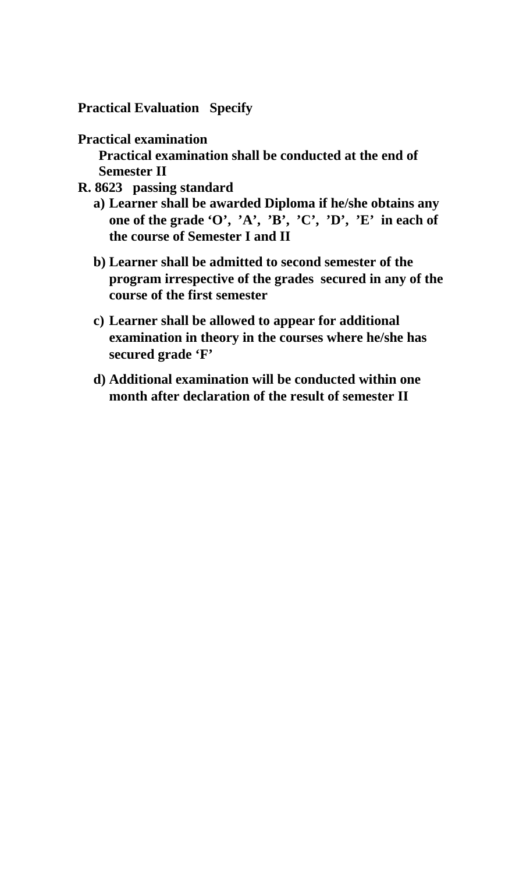**Practical Evaluation Specify** 

#### **Practical examination**

 **Practical examination shall be conducted at the end of Semester II** 

- **R. 8623 passing standard** 
	- **a) Learner shall be awarded Diploma if he/she obtains any one of the grade 'O', 'A', 'B', 'C', 'D', 'E' in each of the course of Semester I and II**
	- **b) Learner shall be admitted to second semester of the program irrespective of the grades secured in any of the course of the first semester**
	- **c) Learner shall be allowed to appear for additional examination in theory in the courses where he/she has secured grade 'F'**
	- **d) Additional examination will be conducted within one month after declaration of the result of semester II**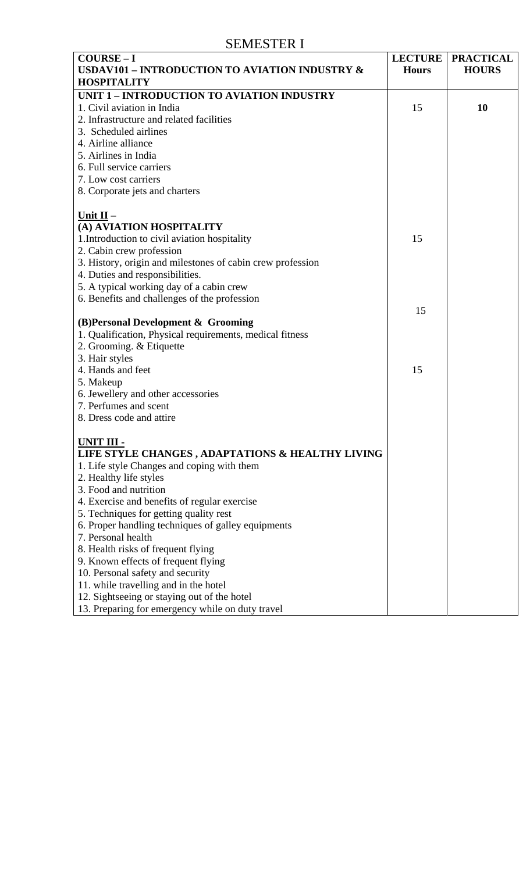#### SEMESTER I

| $COUNSE-I$                                                 | <b>LECTURE</b> | <b>PRACTICAL</b> |
|------------------------------------------------------------|----------------|------------------|
| USDAV101 - INTRODUCTION TO AVIATION INDUSTRY &             | <b>Hours</b>   | <b>HOURS</b>     |
| <b>HOSPITALITY</b>                                         |                |                  |
| UNIT 1 - INTRODUCTION TO AVIATION INDUSTRY                 |                |                  |
| 1. Civil aviation in India                                 | 15             | 10               |
| 2. Infrastructure and related facilities                   |                |                  |
| 3. Scheduled airlines                                      |                |                  |
| 4. Airline alliance                                        |                |                  |
| 5. Airlines in India                                       |                |                  |
| 6. Full service carriers                                   |                |                  |
| 7. Low cost carriers                                       |                |                  |
| 8. Corporate jets and charters                             |                |                  |
|                                                            |                |                  |
| Unit $II -$                                                |                |                  |
| (A) AVIATION HOSPITALITY                                   |                |                  |
| 1. Introduction to civil aviation hospitality              | 15             |                  |
| 2. Cabin crew profession                                   |                |                  |
| 3. History, origin and milestones of cabin crew profession |                |                  |
| 4. Duties and responsibilities.                            |                |                  |
| 5. A typical working day of a cabin crew                   |                |                  |
| 6. Benefits and challenges of the profession               |                |                  |
|                                                            | 15             |                  |
| (B)Personal Development & Grooming                         |                |                  |
| 1. Qualification, Physical requirements, medical fitness   |                |                  |
| 2. Grooming. & Etiquette                                   |                |                  |
| 3. Hair styles                                             |                |                  |
| 4. Hands and feet                                          | 15             |                  |
| 5. Makeup                                                  |                |                  |
| 6. Jewellery and other accessories                         |                |                  |
| 7. Perfumes and scent                                      |                |                  |
| 8. Dress code and attire                                   |                |                  |
|                                                            |                |                  |
| UNIT III -                                                 |                |                  |
| LIFE STYLE CHANGES, ADAPTATIONS & HEALTHY LIVING           |                |                  |
| 1. Life style Changes and coping with them                 |                |                  |
| 2. Healthy life styles                                     |                |                  |
| 3. Food and nutrition                                      |                |                  |
| 4. Exercise and benefits of regular exercise               |                |                  |
| 5. Techniques for getting quality rest                     |                |                  |
| 6. Proper handling techniques of galley equipments         |                |                  |
| 7. Personal health                                         |                |                  |
| 8. Health risks of frequent flying                         |                |                  |
| 9. Known effects of frequent flying                        |                |                  |
| 10. Personal safety and security                           |                |                  |
| 11. while travelling and in the hotel                      |                |                  |
| 12. Sightseeing or staying out of the hotel                |                |                  |
| 13. Preparing for emergency while on duty travel           |                |                  |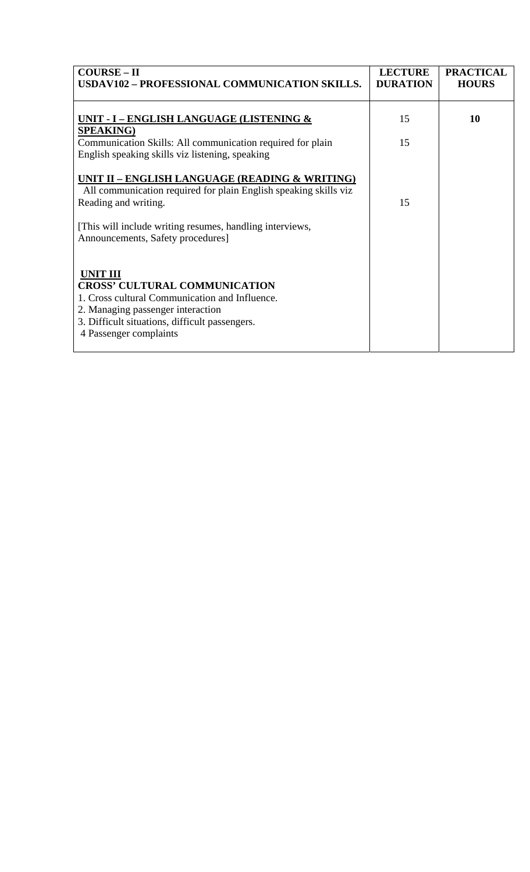| <b>COURSE – II</b><br>USDAV102 - PROFESSIONAL COMMUNICATION SKILLS.                                                                                                                                                        | <b>LECTURE</b><br><b>DURATION</b> | <b>PRACTICAL</b><br><b>HOURS</b> |
|----------------------------------------------------------------------------------------------------------------------------------------------------------------------------------------------------------------------------|-----------------------------------|----------------------------------|
| UNIT - I – ENGLISH LANGUAGE (LISTENING &<br><b>SPEAKING)</b>                                                                                                                                                               | 15                                | 10                               |
| Communication Skills: All communication required for plain<br>English speaking skills viz listening, speaking                                                                                                              | 15                                |                                  |
| UNIT II – ENGLISH LANGUAGE (READING & WRITING)<br>All communication required for plain English speaking skills viz<br>Reading and writing.                                                                                 | 15                                |                                  |
| [This will include writing resumes, handling interviews,<br>Announcements, Safety procedures]                                                                                                                              |                                   |                                  |
| <b>UNIT III</b><br><b>CROSS' CULTURAL COMMUNICATION</b><br>1. Cross cultural Communication and Influence.<br>2. Managing passenger interaction<br>3. Difficult situations, difficult passengers.<br>4 Passenger complaints |                                   |                                  |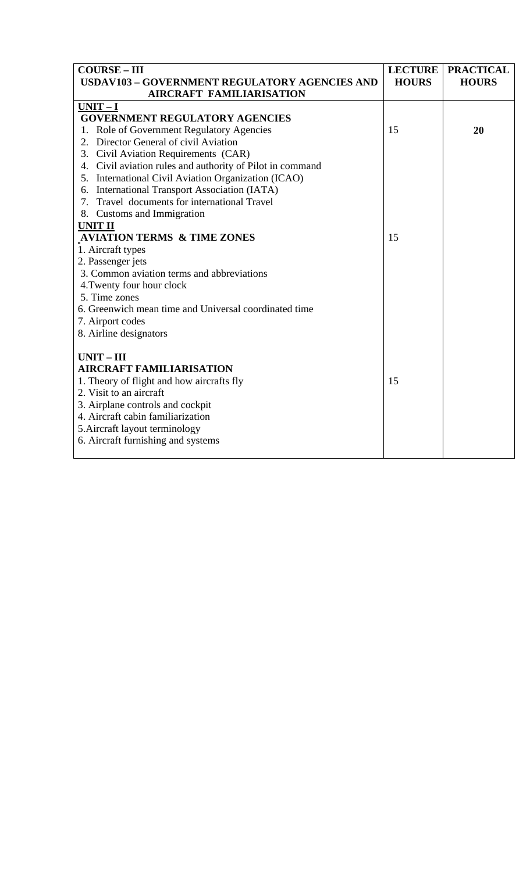| <b>COURSE-III</b>                                         | <b>LECTURE</b> | <b>PRACTICAL</b> |
|-----------------------------------------------------------|----------------|------------------|
| <b>USDAV103 - GOVERNMENT REGULATORY AGENCIES AND</b>      | <b>HOURS</b>   | <b>HOURS</b>     |
| <b>AIRCRAFT FAMILIARISATION</b>                           |                |                  |
| $UNIT-I$                                                  |                |                  |
| <b>GOVERNMENT REGULATORY AGENCIES</b>                     |                |                  |
| 1. Role of Government Regulatory Agencies                 | 15             | 20               |
| 2. Director General of civil Aviation                     |                |                  |
| 3. Civil Aviation Requirements (CAR)                      |                |                  |
| 4. Civil aviation rules and authority of Pilot in command |                |                  |
| 5. International Civil Aviation Organization (ICAO)       |                |                  |
| 6. International Transport Association (IATA)             |                |                  |
| 7. Travel documents for international Travel              |                |                  |
| 8. Customs and Immigration                                |                |                  |
| <b>UNIT II</b>                                            |                |                  |
| <b>AVIATION TERMS &amp; TIME ZONES</b>                    | 15             |                  |
| 1. Aircraft types                                         |                |                  |
| 2. Passenger jets                                         |                |                  |
| 3. Common aviation terms and abbreviations                |                |                  |
| 4. Twenty four hour clock                                 |                |                  |
| 5. Time zones                                             |                |                  |
| 6. Greenwich mean time and Universal coordinated time     |                |                  |
| 7. Airport codes                                          |                |                  |
| 8. Airline designators                                    |                |                  |
|                                                           |                |                  |
| $UNIT - III$                                              |                |                  |
| <b>AIRCRAFT FAMILIARISATION</b>                           |                |                  |
| 1. Theory of flight and how aircrafts fly                 | 15             |                  |
| 2. Visit to an aircraft                                   |                |                  |
| 3. Airplane controls and cockpit                          |                |                  |
| 4. Aircraft cabin familiarization                         |                |                  |
| 5. Aircraft layout terminology                            |                |                  |
| 6. Aircraft furnishing and systems                        |                |                  |
|                                                           |                |                  |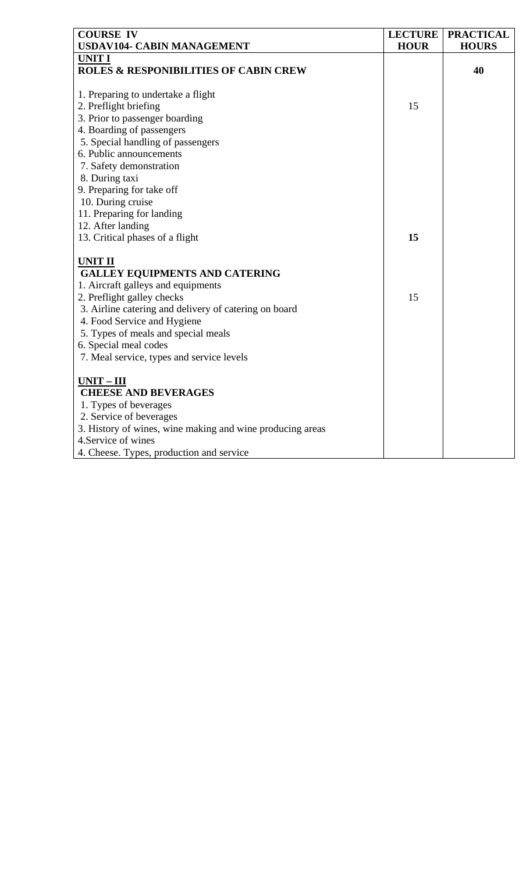| <b>COURSE IV</b><br>USDAV104- CABIN MANAGEMENT            | <b>LECTURE</b><br><b>HOUR</b> | <b>PRACTICAL</b><br><b>HOURS</b> |
|-----------------------------------------------------------|-------------------------------|----------------------------------|
| <b>UNIT I</b>                                             |                               |                                  |
| <b>ROLES &amp; RESPONIBILITIES OF CABIN CREW</b>          |                               | 40                               |
|                                                           |                               |                                  |
| 1. Preparing to undertake a flight                        |                               |                                  |
| 2. Preflight briefing                                     | 15                            |                                  |
| 3. Prior to passenger boarding                            |                               |                                  |
| 4. Boarding of passengers                                 |                               |                                  |
| 5. Special handling of passengers                         |                               |                                  |
| 6. Public announcements                                   |                               |                                  |
| 7. Safety demonstration                                   |                               |                                  |
| 8. During taxi                                            |                               |                                  |
| 9. Preparing for take off                                 |                               |                                  |
| 10. During cruise                                         |                               |                                  |
| 11. Preparing for landing                                 |                               |                                  |
| 12. After landing                                         |                               |                                  |
| 13. Critical phases of a flight                           | 15                            |                                  |
|                                                           |                               |                                  |
| <b>UNIT II</b>                                            |                               |                                  |
| <b>GALLEY EQUIPMENTS AND CATERING</b>                     |                               |                                  |
| 1. Aircraft galleys and equipments                        |                               |                                  |
| 2. Preflight galley checks                                | 15                            |                                  |
| 3. Airline catering and delivery of catering on board     |                               |                                  |
| 4. Food Service and Hygiene                               |                               |                                  |
| 5. Types of meals and special meals                       |                               |                                  |
| 6. Special meal codes                                     |                               |                                  |
| 7. Meal service, types and service levels                 |                               |                                  |
| $UNIT - III$                                              |                               |                                  |
| <b>CHEESE AND BEVERAGES</b>                               |                               |                                  |
| 1. Types of beverages                                     |                               |                                  |
| 2. Service of beverages                                   |                               |                                  |
| 3. History of wines, wine making and wine producing areas |                               |                                  |
| 4. Service of wines                                       |                               |                                  |
| 4. Cheese. Types, production and service                  |                               |                                  |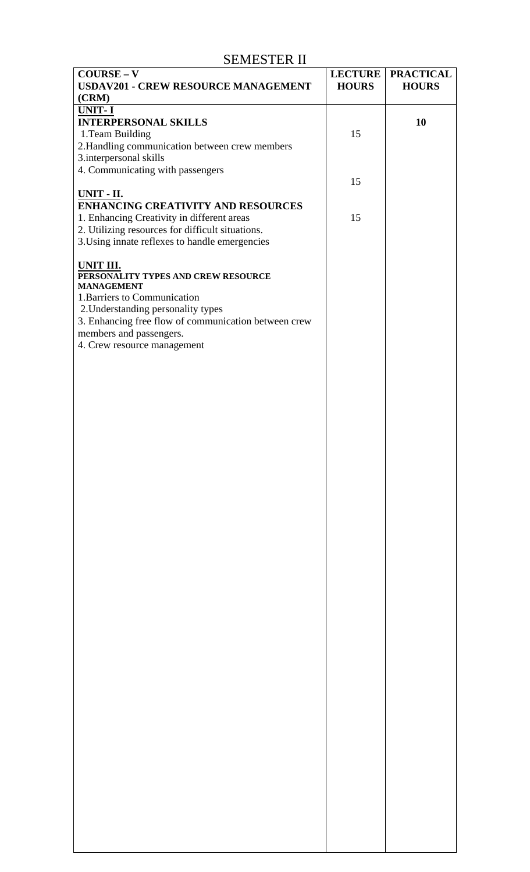#### SEMESTER II

| $COUNSE - V$                                                       | <b>LECTURE</b> | <b>PRACTICAL</b> |
|--------------------------------------------------------------------|----------------|------------------|
| <b>USDAV201 - CREW RESOURCE MANAGEMENT</b>                         | <b>HOURS</b>   | <b>HOURS</b>     |
| (CRM)<br>UNIT-I                                                    |                |                  |
| <b>INTERPERSONAL SKILLS</b>                                        |                | 10               |
| 1. Team Building                                                   | 15             |                  |
| 2. Handling communication between crew members                     |                |                  |
| 3.interpersonal skills                                             |                |                  |
| 4. Communicating with passengers                                   | 15             |                  |
| <b>UNIT - II.</b>                                                  |                |                  |
| <b>ENHANCING CREATIVITY AND RESOURCES</b>                          |                |                  |
| 1. Enhancing Creativity in different areas                         | 15             |                  |
| 2. Utilizing resources for difficult situations.                   |                |                  |
| 3. Using innate reflexes to handle emergencies                     |                |                  |
| UNIT III.                                                          |                |                  |
| PERSONALITY TYPES AND CREW RESOURCE                                |                |                  |
| <b>MANAGEMENT</b>                                                  |                |                  |
| 1. Barriers to Communication<br>2. Understanding personality types |                |                  |
| 3. Enhancing free flow of communication between crew               |                |                  |
| members and passengers.                                            |                |                  |
| 4. Crew resource management                                        |                |                  |
|                                                                    |                |                  |
|                                                                    |                |                  |
|                                                                    |                |                  |
|                                                                    |                |                  |
|                                                                    |                |                  |
|                                                                    |                |                  |
|                                                                    |                |                  |
|                                                                    |                |                  |
|                                                                    |                |                  |
|                                                                    |                |                  |
|                                                                    |                |                  |
|                                                                    |                |                  |
|                                                                    |                |                  |
|                                                                    |                |                  |
|                                                                    |                |                  |
|                                                                    |                |                  |
|                                                                    |                |                  |
|                                                                    |                |                  |
|                                                                    |                |                  |
|                                                                    |                |                  |
|                                                                    |                |                  |
|                                                                    |                |                  |
|                                                                    |                |                  |
|                                                                    |                |                  |
|                                                                    |                |                  |
|                                                                    |                |                  |
|                                                                    |                |                  |
|                                                                    |                |                  |
|                                                                    |                |                  |
|                                                                    |                |                  |
|                                                                    |                |                  |
|                                                                    |                |                  |
|                                                                    |                |                  |
|                                                                    |                |                  |
|                                                                    |                |                  |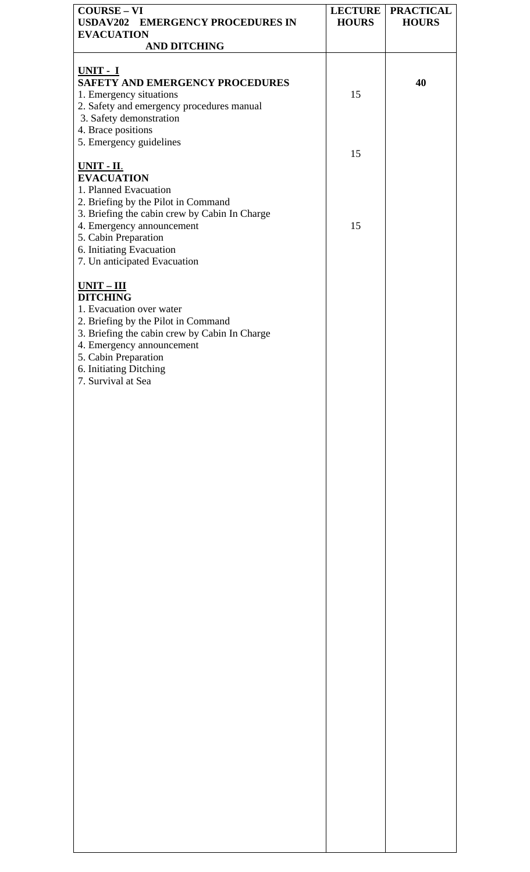| <b>COURSE-VI</b>                                                     |              | <b>LECTURE   PRACTICAL</b> |
|----------------------------------------------------------------------|--------------|----------------------------|
| USDAV202 EMERGENCY PROCEDURES IN<br><b>EVACUATION</b>                | <b>HOURS</b> | <b>HOURS</b>               |
| <b>AND DITCHING</b>                                                  |              |                            |
|                                                                      |              |                            |
| UNIT - I                                                             |              |                            |
| <b>SAFETY AND EMERGENCY PROCEDURES</b>                               |              | 40                         |
| 1. Emergency situations                                              | 15           |                            |
| 2. Safety and emergency procedures manual<br>3. Safety demonstration |              |                            |
| 4. Brace positions                                                   |              |                            |
| 5. Emergency guidelines                                              |              |                            |
|                                                                      | 15           |                            |
| <b>UNIT - II.</b>                                                    |              |                            |
| <b>EVACUATION</b>                                                    |              |                            |
| 1. Planned Evacuation                                                |              |                            |
| 2. Briefing by the Pilot in Command                                  |              |                            |
| 3. Briefing the cabin crew by Cabin In Charge                        |              |                            |
| 4. Emergency announcement<br>5. Cabin Preparation                    | 15           |                            |
| 6. Initiating Evacuation                                             |              |                            |
| 7. Un anticipated Evacuation                                         |              |                            |
|                                                                      |              |                            |
| $UNIT - III$                                                         |              |                            |
| <b>DITCHING</b>                                                      |              |                            |
| 1. Evacuation over water                                             |              |                            |
| 2. Briefing by the Pilot in Command                                  |              |                            |
| 3. Briefing the cabin crew by Cabin In Charge                        |              |                            |
| 4. Emergency announcement                                            |              |                            |
| 5. Cabin Preparation                                                 |              |                            |
| 6. Initiating Ditching                                               |              |                            |
| 7. Survival at Sea                                                   |              |                            |
|                                                                      |              |                            |
|                                                                      |              |                            |
|                                                                      |              |                            |
|                                                                      |              |                            |
|                                                                      |              |                            |
|                                                                      |              |                            |
|                                                                      |              |                            |
|                                                                      |              |                            |
|                                                                      |              |                            |
|                                                                      |              |                            |
|                                                                      |              |                            |
|                                                                      |              |                            |
|                                                                      |              |                            |
|                                                                      |              |                            |
|                                                                      |              |                            |
|                                                                      |              |                            |
|                                                                      |              |                            |
|                                                                      |              |                            |
|                                                                      |              |                            |
|                                                                      |              |                            |
|                                                                      |              |                            |
|                                                                      |              |                            |
|                                                                      |              |                            |
|                                                                      |              |                            |
|                                                                      |              |                            |
|                                                                      |              |                            |
|                                                                      |              |                            |
|                                                                      |              |                            |
|                                                                      |              |                            |
|                                                                      |              |                            |
|                                                                      |              |                            |
|                                                                      |              |                            |
|                                                                      |              |                            |
|                                                                      |              |                            |
|                                                                      |              |                            |
|                                                                      |              |                            |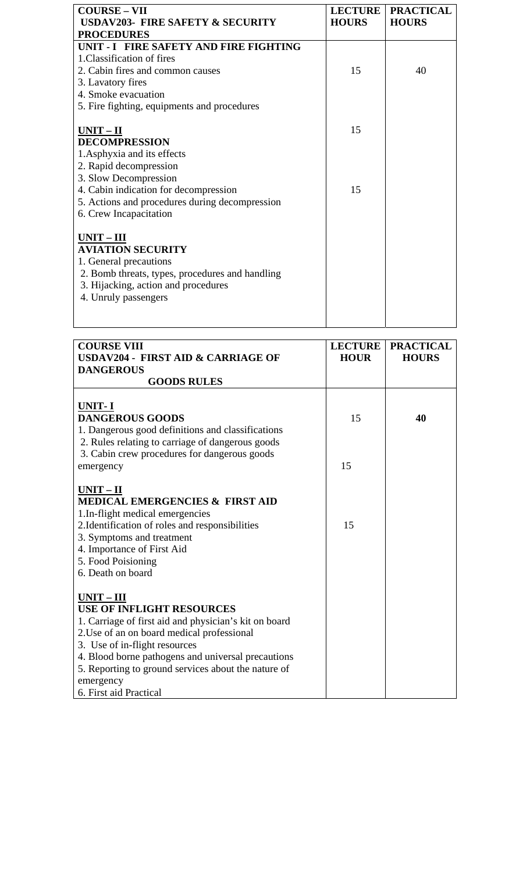| <b>COURSE - VII</b>                             | <b>LECTURE</b> | <b>PRACTICAL</b> |
|-------------------------------------------------|----------------|------------------|
| <b>USDAV203- FIRE SAFETY &amp; SECURITY</b>     | <b>HOURS</b>   | <b>HOURS</b>     |
| <b>PROCEDURES</b>                               |                |                  |
| UNIT - I FIRE SAFETY AND FIRE FIGHTING          |                |                  |
| 1. Classification of fires                      |                |                  |
| 2. Cabin fires and common causes                | 15             | 40               |
| 3. Lavatory fires                               |                |                  |
| 4. Smoke evacuation                             |                |                  |
| 5. Fire fighting, equipments and procedures     |                |                  |
|                                                 |                |                  |
| $UNIT - II$                                     | 15             |                  |
| <b>DECOMPRESSION</b>                            |                |                  |
| 1. Asphyxia and its effects                     |                |                  |
| 2. Rapid decompression                          |                |                  |
| 3. Slow Decompression                           |                |                  |
| 4. Cabin indication for decompression           | 15             |                  |
| 5. Actions and procedures during decompression  |                |                  |
| 6. Crew Incapacitation                          |                |                  |
|                                                 |                |                  |
| UNIT-III                                        |                |                  |
| <b>AVIATION SECURITY</b>                        |                |                  |
| 1. General precautions                          |                |                  |
| 2. Bomb threats, types, procedures and handling |                |                  |
| 3. Hijacking, action and procedures             |                |                  |
| 4. Unruly passengers                            |                |                  |
|                                                 |                |                  |
|                                                 |                |                  |

| <b>COURSE VIII</b>                                                                                                                                                                                                                                                                                                                           | <b>LECTURE</b> | <b>PRACTICAL</b> |
|----------------------------------------------------------------------------------------------------------------------------------------------------------------------------------------------------------------------------------------------------------------------------------------------------------------------------------------------|----------------|------------------|
| <b>USDAV204 - FIRST AID &amp; CARRIAGE OF</b>                                                                                                                                                                                                                                                                                                | <b>HOUR</b>    | <b>HOURS</b>     |
| <b>DANGEROUS</b>                                                                                                                                                                                                                                                                                                                             |                |                  |
| <b>GOODS RULES</b>                                                                                                                                                                                                                                                                                                                           |                |                  |
| UNIT-I<br><b>DANGEROUS GOODS</b><br>1. Dangerous good definitions and classifications<br>2. Rules relating to carriage of dangerous goods                                                                                                                                                                                                    | 15             | 40               |
| 3. Cabin crew procedures for dangerous goods<br>emergency                                                                                                                                                                                                                                                                                    | 15             |                  |
| $UNIT - II$<br><b>MEDICAL EMERGENCIES &amp; FIRST AID</b><br>1.In-flight medical emergencies<br>2. Identification of roles and responsibilities<br>3. Symptoms and treatment<br>4. Importance of First Aid<br>5. Food Poisioning<br>6. Death on board                                                                                        | 15             |                  |
| $UNIT - III$<br><b>USE OF INFLIGHT RESOURCES</b><br>1. Carriage of first aid and physician's kit on board<br>2. Use of an on board medical professional<br>3. Use of in-flight resources<br>4. Blood borne pathogens and universal precautions<br>5. Reporting to ground services about the nature of<br>emergency<br>6. First aid Practical |                |                  |